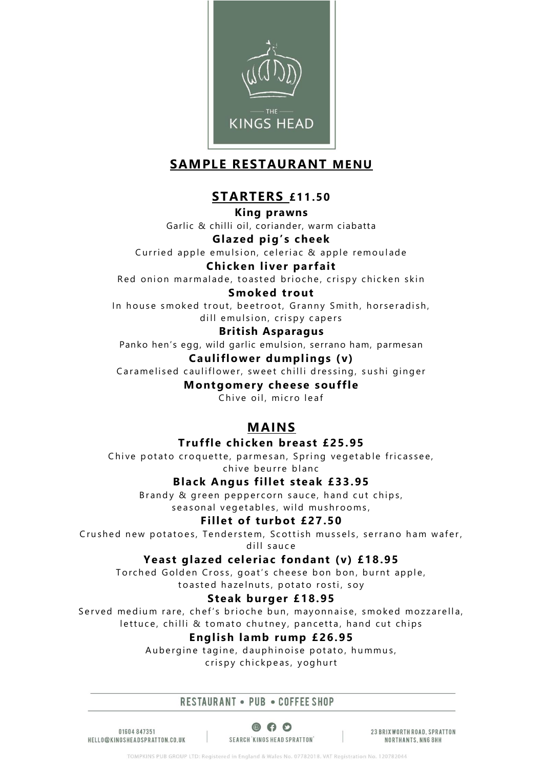

# **SAMPLE RESTAURANT MENU**

# **STARTERS £11.50**

**King prawns** Garlic & chilli oil, coriander, warm ciabatta

# **Glazed pig's cheek**

Curried apple emulsion, celeriac & apple remoulade

### **Chicken liver parfait**

Red onion marmalade, toasted brioche, crispy chicken skin

### **Smoked trout**

In house smoked trout, beetroot, Granny Smith, horseradish, dill emulsion, crispy capers

### **British Asparagus**

Panko hen's egg, wild garlic emulsion, serrano ham, parmesan

# **Cauliflower dumplings (v)**

Caramelised cauliflower, sweet chilli dressing, sushi ginger

**Montgomery cheese souffle**

Chive oil, micro leaf

# **MAINS**

# **Truffle chicken breast £25.95**

Chive potato croquette, parmesan, Spring vegetable fricassee, chive beurre blanc

# **Black Angus fillet steak £33.95**

Brandy & green peppercorn sauce, hand cut chips, seasonal vegetables, wild mushrooms.

# **Fillet of turbot £27.50**

Crushed new potatoes, Tenderstem, Scottish mussels, serrano ham wafer, dill sauce

### **Yeast glazed celeriac fondant (v) £18.95**

Torched Golden Cross, goat's cheese bon bon, burnt apple, to a sted haze lnuts, potato rosti, soy

# **Steak burger £18.95**

Served medium rare, chef's brioche bun, mayonnaise, smoked mozzarella, lettuce, chilli & tomato chutney, pancetta, hand cut chips

# **English lamb rump £26.95**

Aubergine tagine, dauphinoise potato, hummus, crispy chickpeas, yoghurt

#### RESTAURANT . PUB . COFFEE SHOP

01604847351 HELLO@KINGSHEADSPRATTON.CO.UK

 $\circ$   $\circ$ SEARCH 'KINGS HEAD SPRATTON'

23 BRIXWORTH ROAD, SPRATTON NORTHANTS, NN6 8HH